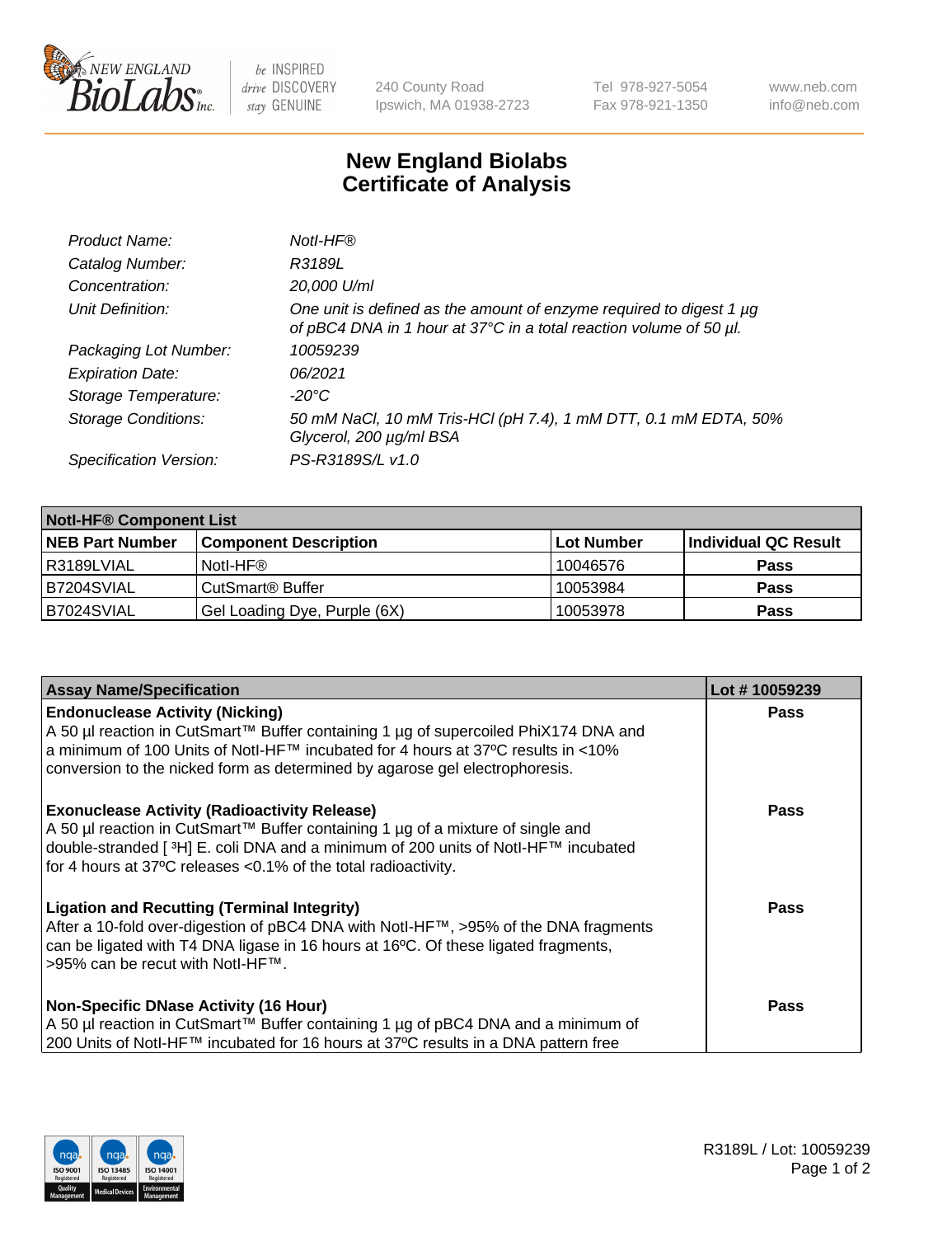

 $be$  INSPIRED drive DISCOVERY stay GENUINE

240 County Road Ipswich, MA 01938-2723 Tel 978-927-5054 Fax 978-921-1350 www.neb.com info@neb.com

## **New England Biolabs Certificate of Analysis**

| Product Name:              | Notl-HF®                                                                                                                                  |
|----------------------------|-------------------------------------------------------------------------------------------------------------------------------------------|
| Catalog Number:            | R3189L                                                                                                                                    |
| Concentration:             | 20,000 U/ml                                                                                                                               |
| Unit Definition:           | One unit is defined as the amount of enzyme required to digest 1 µg<br>of pBC4 DNA in 1 hour at 37°C in a total reaction volume of 50 µl. |
| Packaging Lot Number:      | 10059239                                                                                                                                  |
| <b>Expiration Date:</b>    | 06/2021                                                                                                                                   |
| Storage Temperature:       | -20°C                                                                                                                                     |
| <b>Storage Conditions:</b> | 50 mM NaCl, 10 mM Tris-HCl (pH 7.4), 1 mM DTT, 0.1 mM EDTA, 50%<br>Glycerol, 200 µg/ml BSA                                                |
| Specification Version:     | PS-R3189S/L v1.0                                                                                                                          |

| <b>Notl-HF® Component List</b> |                              |            |                      |  |  |
|--------------------------------|------------------------------|------------|----------------------|--|--|
| <b>NEB Part Number</b>         | <b>Component Description</b> | Lot Number | Individual QC Result |  |  |
| l R3189LVIAL                   | Notl-HF®                     | 10046576   | <b>Pass</b>          |  |  |
| B7204SVIAL                     | CutSmart <sup>®</sup> Buffer | 10053984   | <b>Pass</b>          |  |  |
| B7024SVIAL                     | Gel Loading Dye, Purple (6X) | 10053978   | <b>Pass</b>          |  |  |

| <b>Assay Name/Specification</b>                                                                                                                                                                                                                                                                 | Lot #10059239 |
|-------------------------------------------------------------------------------------------------------------------------------------------------------------------------------------------------------------------------------------------------------------------------------------------------|---------------|
| <b>Endonuclease Activity (Nicking)</b><br>A 50 µl reaction in CutSmart™ Buffer containing 1 µg of supercoiled PhiX174 DNA and                                                                                                                                                                   | <b>Pass</b>   |
| a minimum of 100 Units of Notl-HF™ incubated for 4 hours at 37°C results in <10%<br>conversion to the nicked form as determined by agarose gel electrophoresis.                                                                                                                                 |               |
| <b>Exonuclease Activity (Radioactivity Release)</b><br>A 50 µl reaction in CutSmart™ Buffer containing 1 µg of a mixture of single and<br> double-stranded [3H] E. coli DNA and a minimum of 200 units of Notl-HF™ incubated<br>for 4 hours at 37°C releases < 0.1% of the total radioactivity. | <b>Pass</b>   |
| <b>Ligation and Recutting (Terminal Integrity)</b><br>After a 10-fold over-digestion of pBC4 DNA with Notl-HF™, >95% of the DNA fragments<br>can be ligated with T4 DNA ligase in 16 hours at 16°C. Of these ligated fragments,<br>>95% can be recut with Notl-HF™.                             | <b>Pass</b>   |
| <b>Non-Specific DNase Activity (16 Hour)</b>                                                                                                                                                                                                                                                    | <b>Pass</b>   |
| A 50 µl reaction in CutSmart™ Buffer containing 1 µg of pBC4 DNA and a minimum of<br>200 Units of Notl-HF™ incubated for 16 hours at 37°C results in a DNA pattern free                                                                                                                         |               |